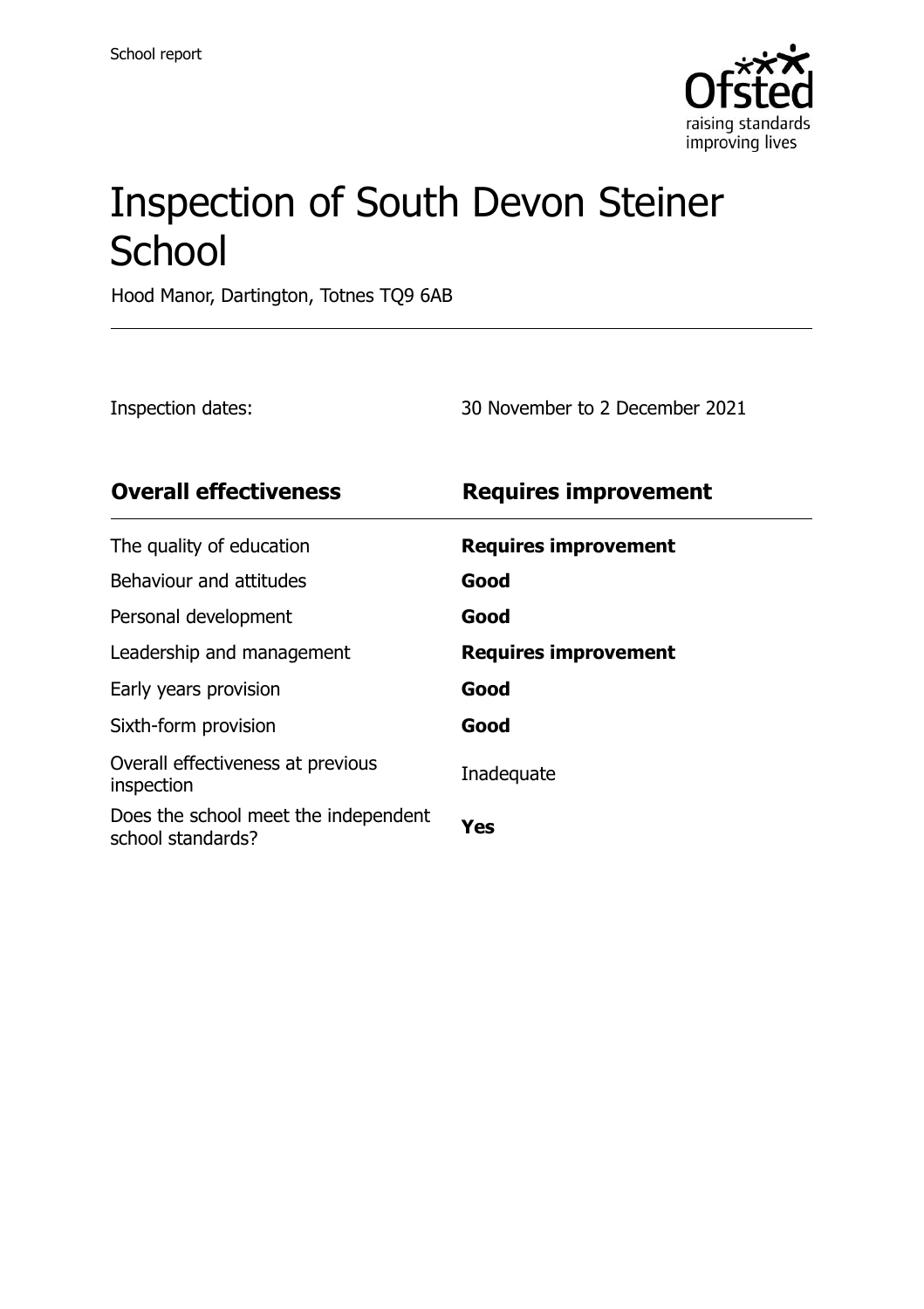

# Inspection of South Devon Steiner **School**

Hood Manor, Dartington, Totnes TQ9 6AB

Inspection dates: 30 November to 2 December 2021

| <b>Overall effectiveness</b>                              | <b>Requires improvement</b> |
|-----------------------------------------------------------|-----------------------------|
| The quality of education                                  | <b>Requires improvement</b> |
| Behaviour and attitudes                                   | Good                        |
| Personal development                                      | Good                        |
| Leadership and management                                 | <b>Requires improvement</b> |
| Early years provision                                     | Good                        |
| Sixth-form provision                                      | Good                        |
| Overall effectiveness at previous<br>inspection           | Inadequate                  |
| Does the school meet the independent<br>school standards? | Yes                         |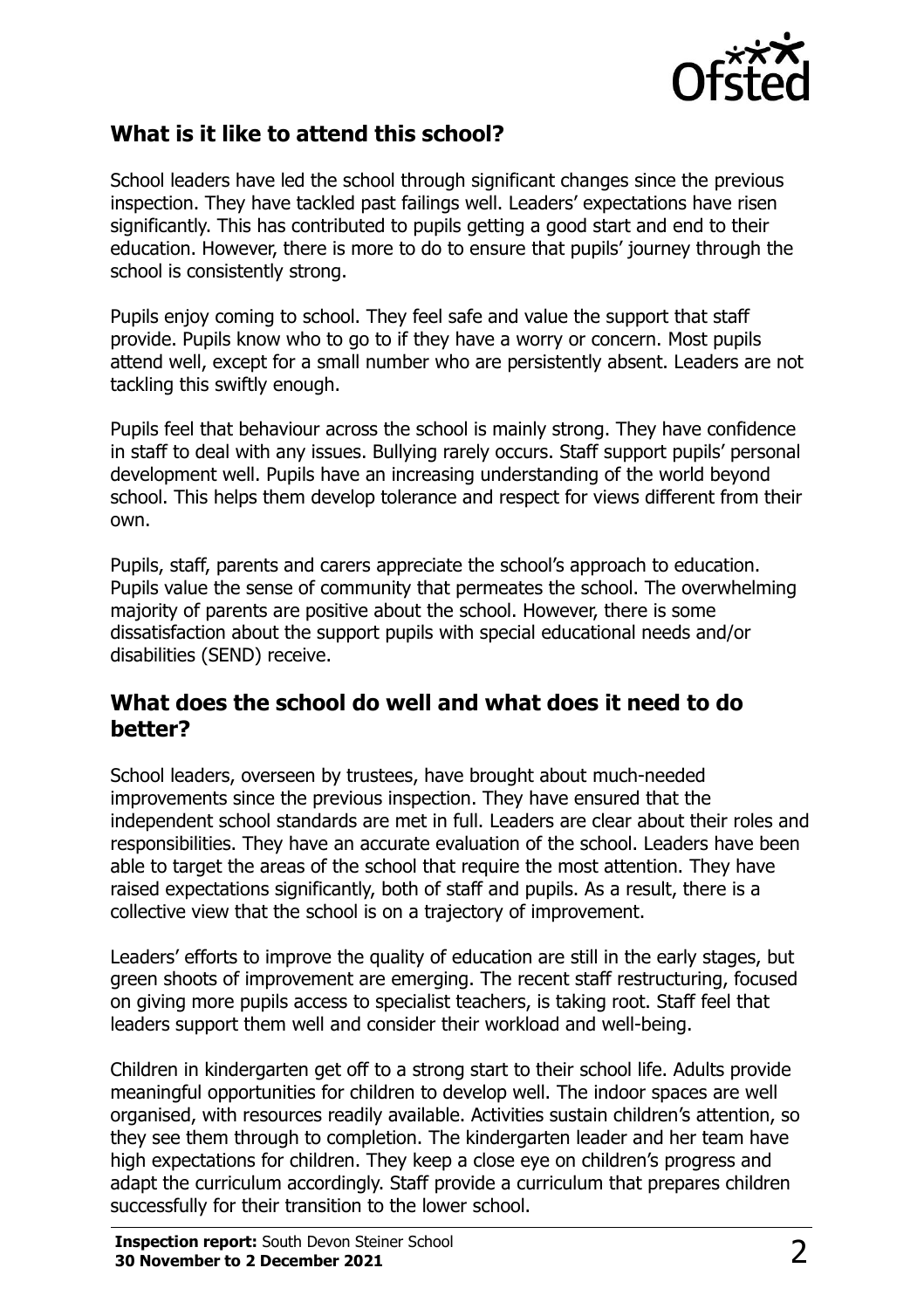

### **What is it like to attend this school?**

School leaders have led the school through significant changes since the previous inspection. They have tackled past failings well. Leaders' expectations have risen significantly. This has contributed to pupils getting a good start and end to their education. However, there is more to do to ensure that pupils' journey through the school is consistently strong.

Pupils enjoy coming to school. They feel safe and value the support that staff provide. Pupils know who to go to if they have a worry or concern. Most pupils attend well, except for a small number who are persistently absent. Leaders are not tackling this swiftly enough.

Pupils feel that behaviour across the school is mainly strong. They have confidence in staff to deal with any issues. Bullying rarely occurs. Staff support pupils' personal development well. Pupils have an increasing understanding of the world beyond school. This helps them develop tolerance and respect for views different from their own.

Pupils, staff, parents and carers appreciate the school's approach to education. Pupils value the sense of community that permeates the school. The overwhelming majority of parents are positive about the school. However, there is some dissatisfaction about the support pupils with special educational needs and/or disabilities (SEND) receive.

#### **What does the school do well and what does it need to do better?**

School leaders, overseen by trustees, have brought about much-needed improvements since the previous inspection. They have ensured that the independent school standards are met in full. Leaders are clear about their roles and responsibilities. They have an accurate evaluation of the school. Leaders have been able to target the areas of the school that require the most attention. They have raised expectations significantly, both of staff and pupils. As a result, there is a collective view that the school is on a trajectory of improvement.

Leaders' efforts to improve the quality of education are still in the early stages, but green shoots of improvement are emerging. The recent staff restructuring, focused on giving more pupils access to specialist teachers, is taking root. Staff feel that leaders support them well and consider their workload and well-being.

Children in kindergarten get off to a strong start to their school life. Adults provide meaningful opportunities for children to develop well. The indoor spaces are well organised, with resources readily available. Activities sustain children's attention, so they see them through to completion. The kindergarten leader and her team have high expectations for children. They keep a close eye on children's progress and adapt the curriculum accordingly. Staff provide a curriculum that prepares children successfully for their transition to the lower school.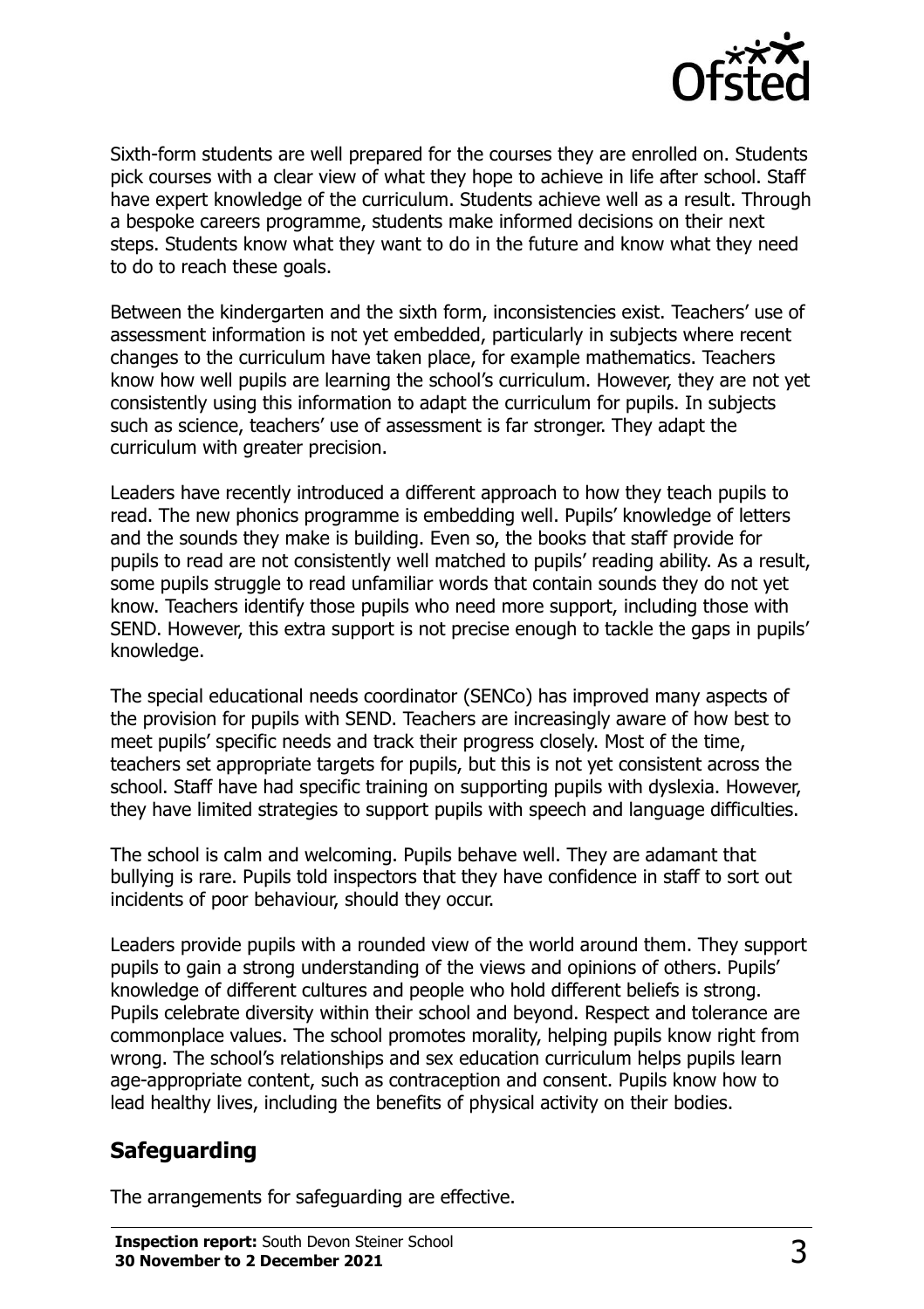

Sixth-form students are well prepared for the courses they are enrolled on. Students pick courses with a clear view of what they hope to achieve in life after school. Staff have expert knowledge of the curriculum. Students achieve well as a result. Through a bespoke careers programme, students make informed decisions on their next steps. Students know what they want to do in the future and know what they need to do to reach these goals.

Between the kindergarten and the sixth form, inconsistencies exist. Teachers' use of assessment information is not yet embedded, particularly in subjects where recent changes to the curriculum have taken place, for example mathematics. Teachers know how well pupils are learning the school's curriculum. However, they are not yet consistently using this information to adapt the curriculum for pupils. In subjects such as science, teachers' use of assessment is far stronger. They adapt the curriculum with greater precision.

Leaders have recently introduced a different approach to how they teach pupils to read. The new phonics programme is embedding well. Pupils' knowledge of letters and the sounds they make is building. Even so, the books that staff provide for pupils to read are not consistently well matched to pupils' reading ability. As a result, some pupils struggle to read unfamiliar words that contain sounds they do not yet know. Teachers identify those pupils who need more support, including those with SEND. However, this extra support is not precise enough to tackle the gaps in pupils' knowledge.

The special educational needs coordinator (SENCo) has improved many aspects of the provision for pupils with SEND. Teachers are increasingly aware of how best to meet pupils' specific needs and track their progress closely. Most of the time, teachers set appropriate targets for pupils, but this is not yet consistent across the school. Staff have had specific training on supporting pupils with dyslexia. However, they have limited strategies to support pupils with speech and language difficulties.

The school is calm and welcoming. Pupils behave well. They are adamant that bullying is rare. Pupils told inspectors that they have confidence in staff to sort out incidents of poor behaviour, should they occur.

Leaders provide pupils with a rounded view of the world around them. They support pupils to gain a strong understanding of the views and opinions of others. Pupils' knowledge of different cultures and people who hold different beliefs is strong. Pupils celebrate diversity within their school and beyond. Respect and tolerance are commonplace values. The school promotes morality, helping pupils know right from wrong. The school's relationships and sex education curriculum helps pupils learn age-appropriate content, such as contraception and consent. Pupils know how to lead healthy lives, including the benefits of physical activity on their bodies.

## **Safeguarding**

The arrangements for safeguarding are effective.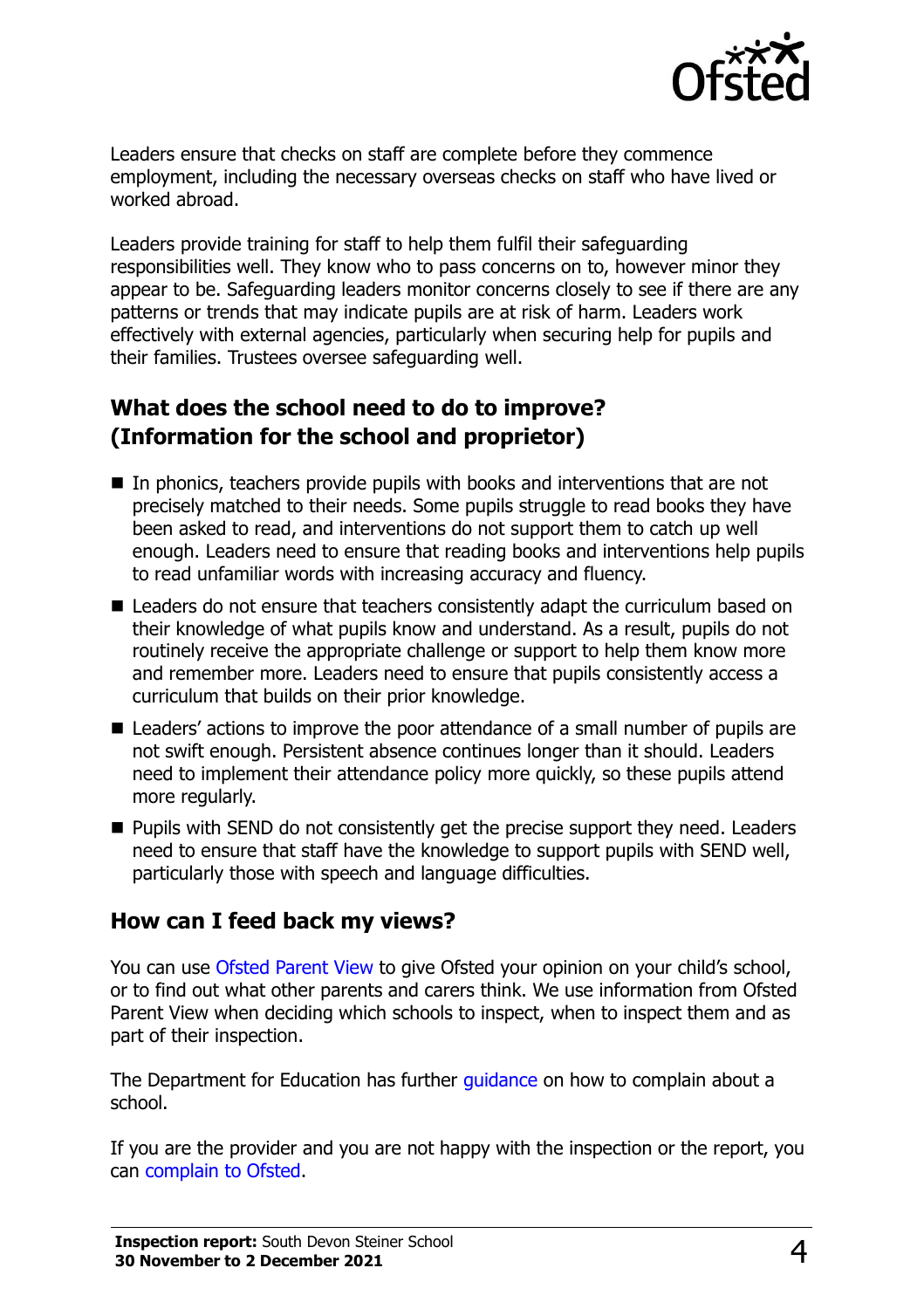

Leaders ensure that checks on staff are complete before they commence employment, including the necessary overseas checks on staff who have lived or worked abroad.

Leaders provide training for staff to help them fulfil their safeguarding responsibilities well. They know who to pass concerns on to, however minor they appear to be. Safeguarding leaders monitor concerns closely to see if there are any patterns or trends that may indicate pupils are at risk of harm. Leaders work effectively with external agencies, particularly when securing help for pupils and their families. Trustees oversee safeguarding well.

## **What does the school need to do to improve? (Information for the school and proprietor)**

- In phonics, teachers provide pupils with books and interventions that are not precisely matched to their needs. Some pupils struggle to read books they have been asked to read, and interventions do not support them to catch up well enough. Leaders need to ensure that reading books and interventions help pupils to read unfamiliar words with increasing accuracy and fluency.
- Leaders do not ensure that teachers consistently adapt the curriculum based on their knowledge of what pupils know and understand. As a result, pupils do not routinely receive the appropriate challenge or support to help them know more and remember more. Leaders need to ensure that pupils consistently access a curriculum that builds on their prior knowledge.
- Leaders' actions to improve the poor attendance of a small number of pupils are not swift enough. Persistent absence continues longer than it should. Leaders need to implement their attendance policy more quickly, so these pupils attend more regularly.
- Pupils with SEND do not consistently get the precise support they need. Leaders need to ensure that staff have the knowledge to support pupils with SEND well, particularly those with speech and language difficulties.

#### **How can I feed back my views?**

You can use [Ofsted Parent View](http://parentview.ofsted.gov.uk/) to give Ofsted your opinion on your child's school, or to find out what other parents and carers think. We use information from Ofsted Parent View when deciding which schools to inspect, when to inspect them and as part of their inspection.

The Department for Education has further quidance on how to complain about a school.

If you are the provider and you are not happy with the inspection or the report, you can [complain to Ofsted.](http://www.gov.uk/complain-ofsted-report)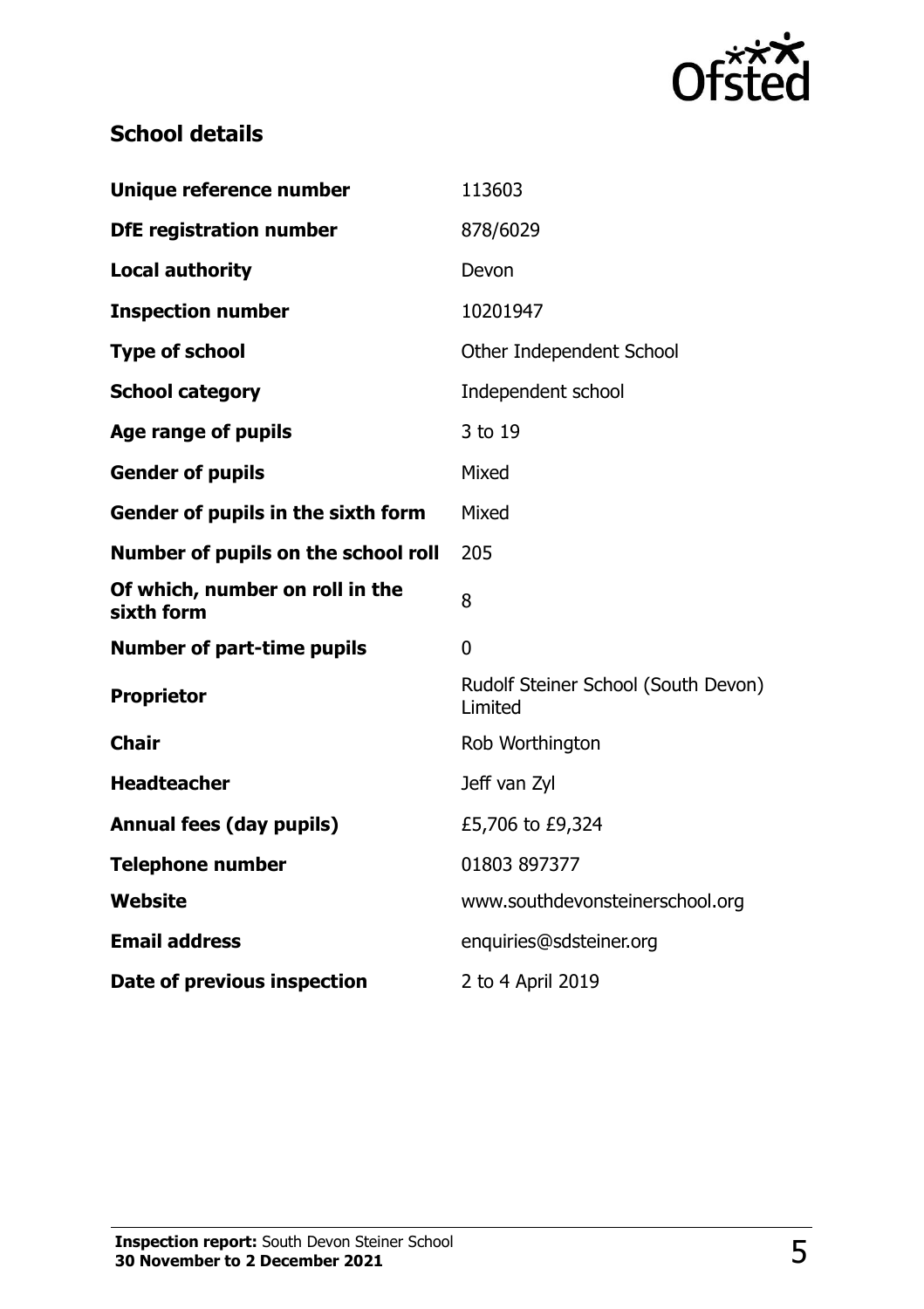

## **School details**

| Unique reference number                       | 113603                                         |  |
|-----------------------------------------------|------------------------------------------------|--|
| <b>DfE registration number</b>                | 878/6029                                       |  |
| <b>Local authority</b>                        | Devon                                          |  |
| <b>Inspection number</b>                      | 10201947                                       |  |
| <b>Type of school</b>                         | Other Independent School                       |  |
| <b>School category</b>                        | Independent school                             |  |
| Age range of pupils                           | 3 to 19                                        |  |
| <b>Gender of pupils</b>                       | Mixed                                          |  |
| Gender of pupils in the sixth form            | Mixed                                          |  |
| Number of pupils on the school roll           | 205                                            |  |
| Of which, number on roll in the<br>sixth form | 8                                              |  |
| <b>Number of part-time pupils</b>             | 0                                              |  |
| <b>Proprietor</b>                             | Rudolf Steiner School (South Devon)<br>Limited |  |
| <b>Chair</b>                                  | Rob Worthington                                |  |
| <b>Headteacher</b>                            | Jeff van Zyl                                   |  |
| <b>Annual fees (day pupils)</b>               | £5,706 to £9,324                               |  |
| <b>Telephone number</b>                       | 01803 897377                                   |  |
| <b>Website</b>                                | www.southdevonsteinerschool.org                |  |
| <b>Email address</b>                          | enquiries@sdsteiner.org                        |  |
| Date of previous inspection                   | 2 to 4 April 2019                              |  |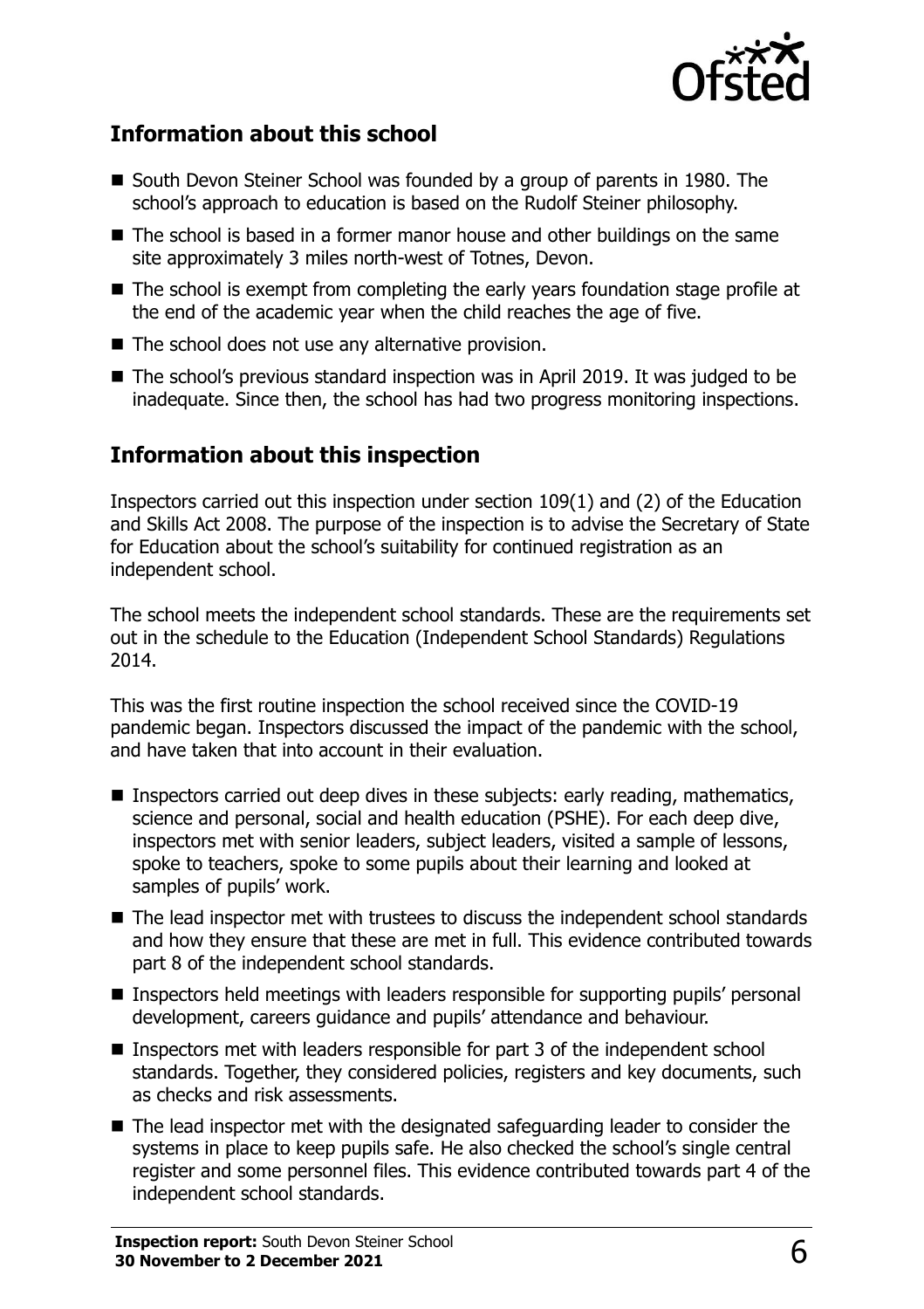

#### **Information about this school**

- South Devon Steiner School was founded by a group of parents in 1980. The school's approach to education is based on the Rudolf Steiner philosophy.
- The school is based in a former manor house and other buildings on the same site approximately 3 miles north-west of Totnes, Devon.
- The school is exempt from completing the early years foundation stage profile at the end of the academic year when the child reaches the age of five.
- The school does not use any alternative provision.
- The school's previous standard inspection was in April 2019. It was judged to be inadequate. Since then, the school has had two progress monitoring inspections.

## **Information about this inspection**

Inspectors carried out this inspection under section 109(1) and (2) of the Education and Skills Act 2008. The purpose of the inspection is to advise the Secretary of State for Education about the school's suitability for continued registration as an independent school.

The school meets the independent school standards. These are the requirements set out in the schedule to the Education (Independent School Standards) Regulations 2014.

This was the first routine inspection the school received since the COVID-19 pandemic began. Inspectors discussed the impact of the pandemic with the school, and have taken that into account in their evaluation.

- Inspectors carried out deep dives in these subjects: early reading, mathematics, science and personal, social and health education (PSHE). For each deep dive, inspectors met with senior leaders, subject leaders, visited a sample of lessons, spoke to teachers, spoke to some pupils about their learning and looked at samples of pupils' work.
- The lead inspector met with trustees to discuss the independent school standards and how they ensure that these are met in full. This evidence contributed towards part 8 of the independent school standards.
- Inspectors held meetings with leaders responsible for supporting pupils' personal development, careers guidance and pupils' attendance and behaviour.
- Inspectors met with leaders responsible for part 3 of the independent school standards. Together, they considered policies, registers and key documents, such as checks and risk assessments.
- The lead inspector met with the designated safeguarding leader to consider the systems in place to keep pupils safe. He also checked the school's single central register and some personnel files. This evidence contributed towards part 4 of the independent school standards.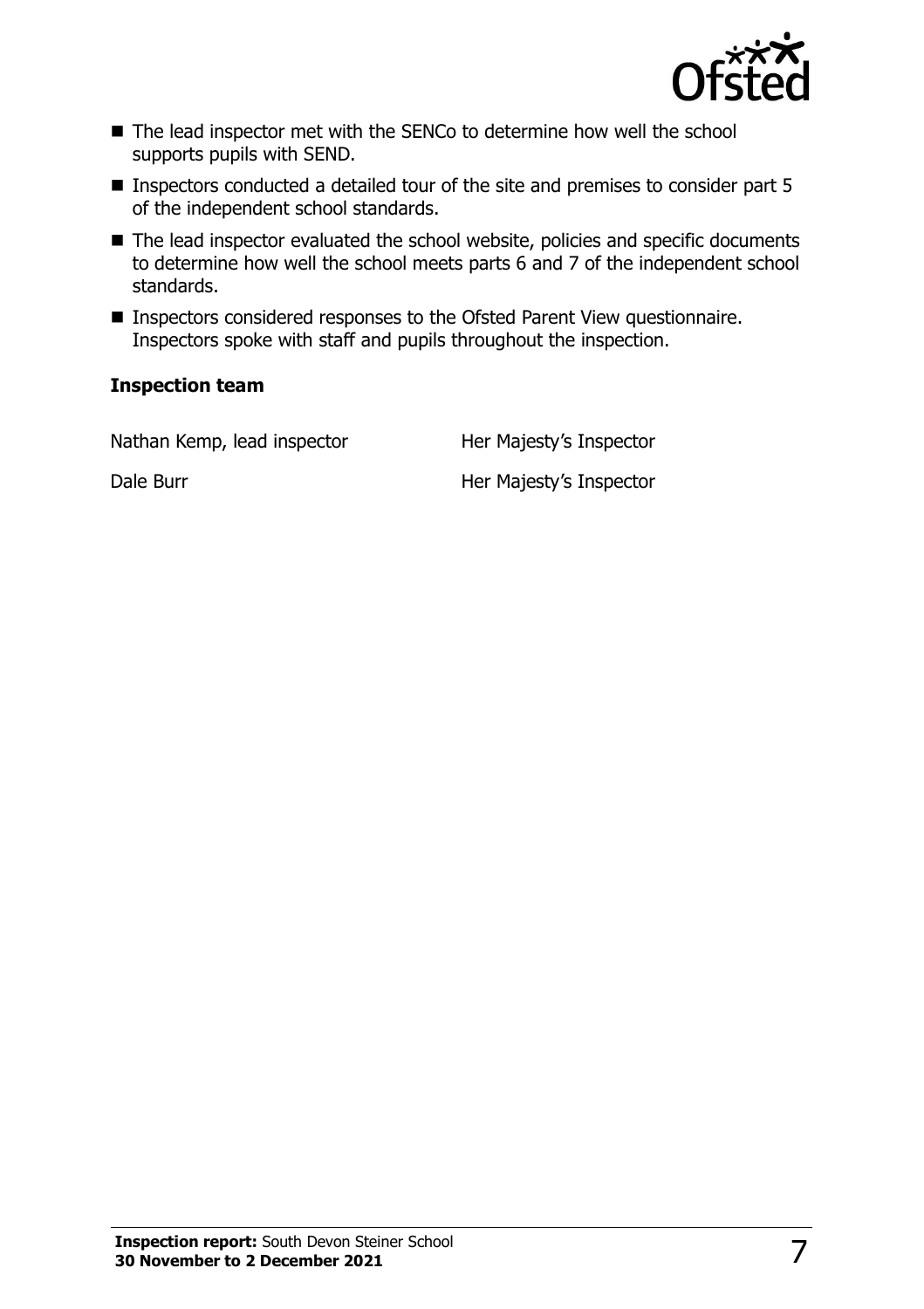

- The lead inspector met with the SENCo to determine how well the school supports pupils with SEND.
- Inspectors conducted a detailed tour of the site and premises to consider part 5 of the independent school standards.
- The lead inspector evaluated the school website, policies and specific documents to determine how well the school meets parts 6 and 7 of the independent school standards.
- Inspectors considered responses to the Ofsted Parent View questionnaire. Inspectors spoke with staff and pupils throughout the inspection.

#### **Inspection team**

| Nathan Kemp, lead inspector | Her Majesty's Inspector |
|-----------------------------|-------------------------|
| Dale Burr                   | Her Majesty's Inspector |